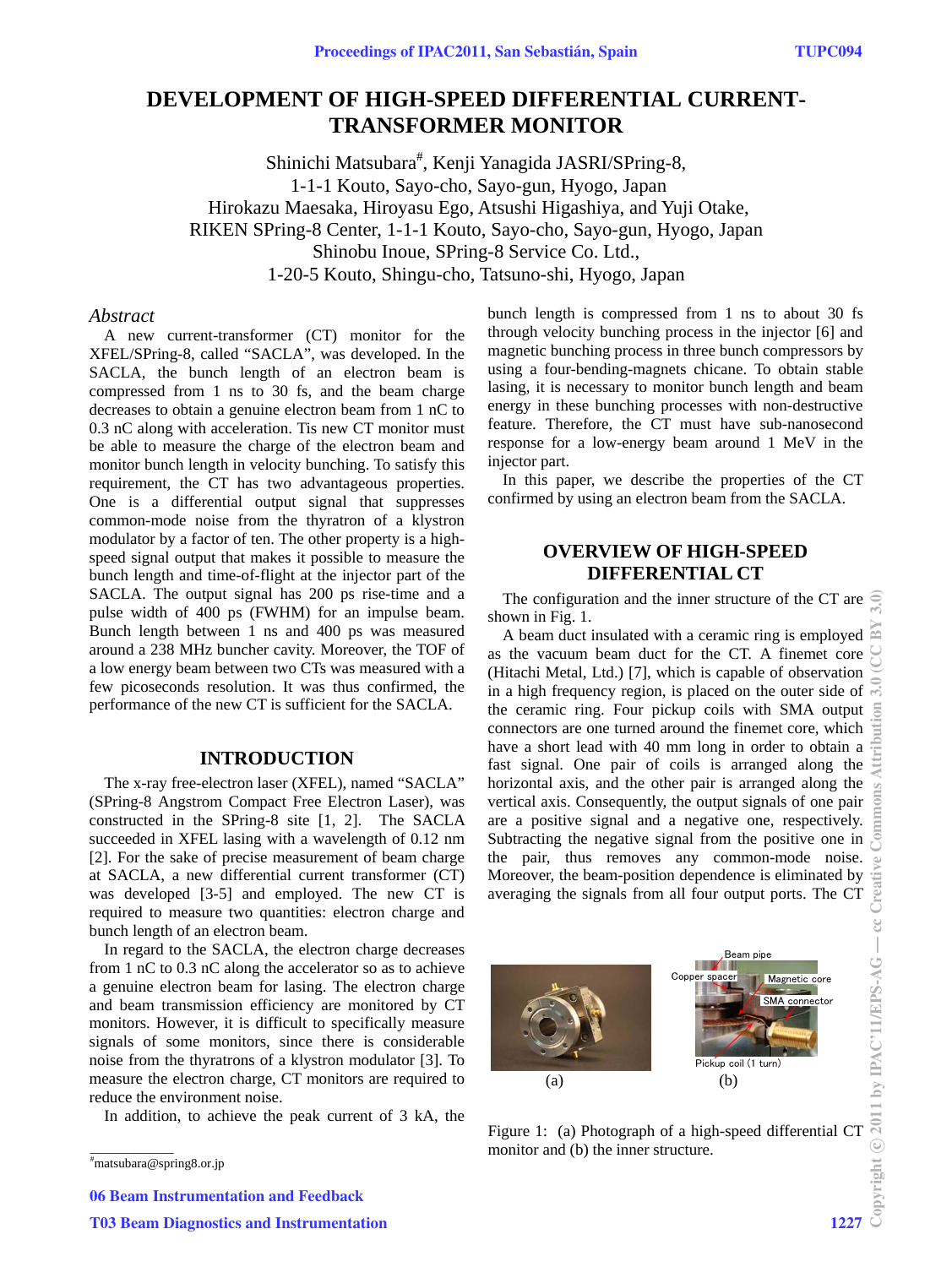# **DEVELOPMENT OF HIGH-SPEED DIFFERENTIAL CURRENT-TRANSFORMER MONITOR**

Shinichi Matsubara<sup>#</sup>, Kenji Yanagida JASRI/SPring-8, 1-1-1 Kouto, Sayo-cho, Sayo-gun, Hyogo, Japan Hirokazu Maesaka, Hiroyasu Ego, Atsushi Higashiya, and Yuji Otake, RIKEN SPring-8 Center, 1-1-1 Kouto, Sayo-cho, Sayo-gun, Hyogo, Japan Shinobu Inoue, SPring-8 Service Co. Ltd., 1-20-5 Kouto, Shingu-cho, Tatsuno-shi, Hyogo, Japan

### *Abstract*

A new current-transformer (CT) monitor for the XFEL/SPring-8, called "SACLA", was developed. In the SACLA, the bunch length of an electron beam is compressed from 1 ns to 30 fs, and the beam charge decreases to obtain a genuine electron beam from 1 nC to 0.3 nC along with acceleration. Tis new CT monitor must be able to measure the charge of the electron beam and monitor bunch length in velocity bunching. To satisfy this requirement, the CT has two advantageous properties. One is a differential output signal that suppresses common-mode noise from the thyratron of a klystron modulator by a factor of ten. The other property is a highspeed signal output that makes it possible to measure the bunch length and time-of-flight at the injector part of the SACLA. The output signal has 200 ps rise-time and a pulse width of 400 ps (FWHM) for an impulse beam. Bunch length between 1 ns and 400 ps was measured around a 238 MHz buncher cavity. Moreover, the TOF of a low energy beam between two CTs was measured with a few picoseconds resolution. It was thus confirmed, the performance of the new CT is sufficient for the SACLA.

## **INTRODUCTION**

The x-ray free-electron laser (XFEL), named "SACLA" (SPring-8 Angstrom Compact Free Electron Laser), was constructed in the SPring-8 site [1, 2]. The SACLA succeeded in XFEL lasing with a wavelength of 0.12 nm [2]. For the sake of precise measurement of beam charge at SACLA, a new differential current transformer (CT) was developed [3-5] and employed. The new CT is required to measure two quantities: electron charge and bunch length of an electron beam.

In regard to the SACLA, the electron charge decreases from 1 nC to 0.3 nC along the accelerator so as to achieve a genuine electron beam for lasing. The electron charge and beam transmission efficiency are monitored by CT monitors. However, it is difficult to specifically measure signals of some monitors, since there is considerable noise from the thyratrons of a klystron modulator [3]. To measure the electron charge, CT monitors are required to reduce the environment noise.

In addition, to achieve the peak current of 3 kA, the

06 Beam Instrumentation and Feedback

bunch length is compressed from 1 ns to about 30 fs through velocity bunching process in the injector [6] and magnetic bunching process in three bunch compressors by using a four-bending-magnets chicane. To obtain stable lasing, it is necessary to monitor bunch length and beam energy in these bunching processes with non-destructive feature. Therefore, the CT must have sub-nanosecond response for a low-energy beam around 1 MeV in the injector part.

In this paper, we describe the properties of the CT confirmed by using an electron beam from the SACLA.

## **OVERVIEW OF HIGH-SPEED DIFFERENTIAL CT**

The configuration and the inner structure of the CT are  $\widehat{\mathcal{C}}$ shown in Fig. 1.

A beam duct insulated with a ceramic ring is employed  $\approx$ as the vacuum beam duct for the CT. A finemet core (Hitachi Metal, Ltd.) [7], which is capable of observation in a high frequency region, is placed on the outer side of the ceramic ring. Four pickup coils with SMA output connectors are one turned around the finemet core, which connectors are one turned around the finemet core, which have a short lead with 40 mm long in order to obtain a fast signal. One pair of coils is arranged along the horizontal axis, and the other pair is arranged along the vertical axis. Consequently, the output signals of one pair are a positive signal and a negative one, respectively. Subtracting the negative signal from the positive one in the pair, thus removes any common-mode noise. Moreover, the beam-position dependence is eliminated by averaging the signals from all four output ports. The CT



 $(a)$  (b)

Copp

Pickup coil (1 turn)

Beam pipe

connector

Magnetic core

matsubara@spring8.or.jp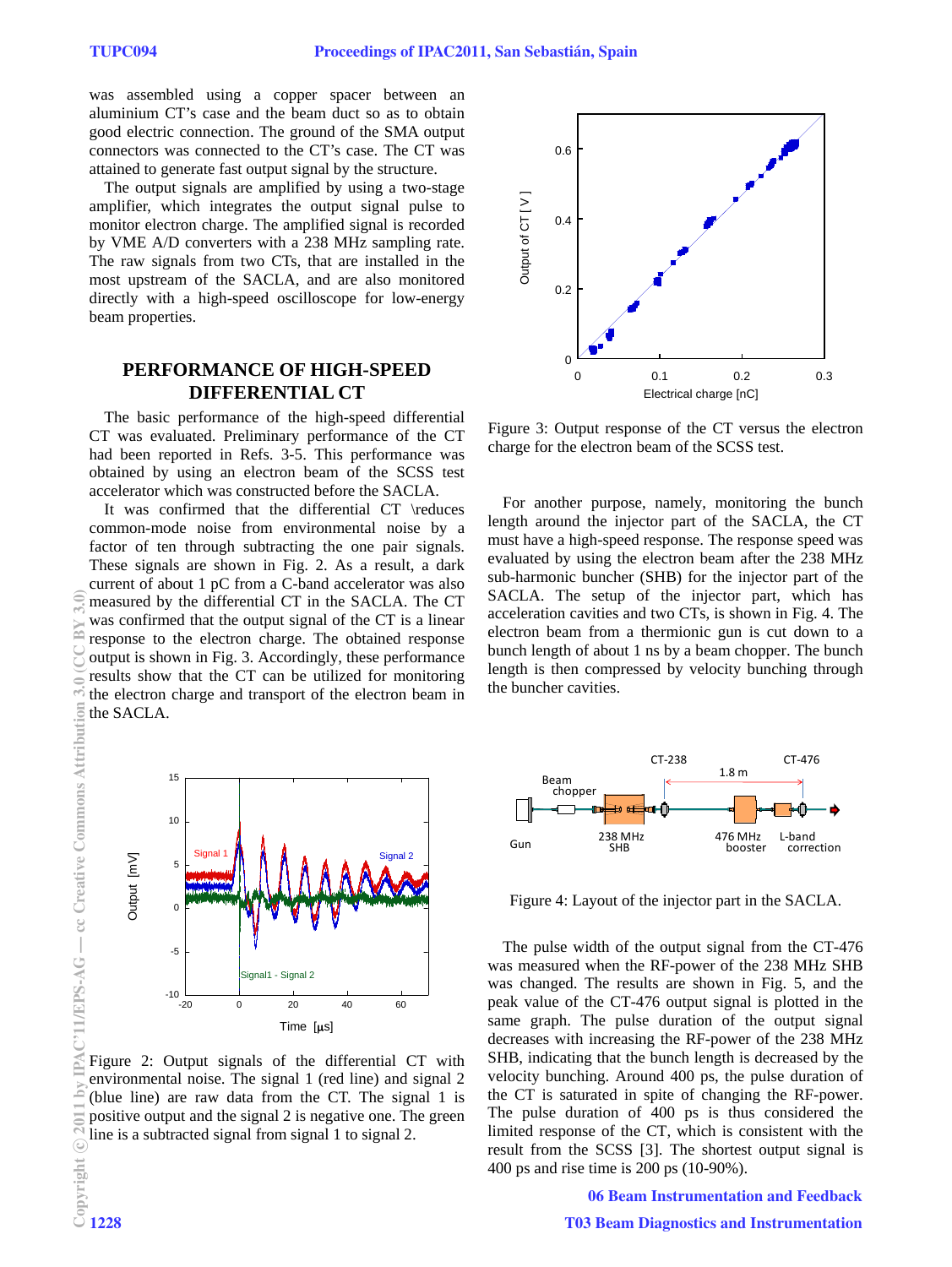was assembled using a copper spacer between an aluminium CT's case and the beam duct so as to obtain good electric connection. The ground of the SMA output connectors was connected to the CT's case. The CT was attained to generate fast output signal by the structure.

The output signals are amplified by using a two-stage amplifier, which integrates the output signal pulse to monitor electron charge. The amplified signal is recorded by VME A/D converters with a 238 MHz sampling rate. The raw signals from two CTs, that are installed in the most upstream of the SACLA, and are also monitored directly with a high-speed oscilloscope for low-energy beam properties.

## **PERFORMANCE OF HIGH-SPEED DIFFERENTIAL CT**

The basic performance of the high-speed differential CT was evaluated. Preliminary performance of the CT had been reported in Refs. 3-5. This performance was obtained by using an electron beam of the SCSS test accelerator which was constructed before the SACLA.

It was confirmed that the differential CT \reduces common-mode noise from environmental noise by a factor of ten through subtracting the one pair signals. These signals are shown in Fig. 2. As a result, a dark current of about 1 pC from a C-band accelerator was also measured by the differential CT in the SACLA. The CT was confirmed that the output signal of the CT is a linear response to the electron charge. The obtained response output is shown in Fig. 3. Accordingly, these performance results show that the CT can be utilized for monitoring the electron charge and transport of the electron beam in the SACLA.



Figure 2: Output signals of the differential CT with environmental noise. The signal 1 (red line) and signal 2 (blue line) are raw data from the CT. The signal 1 is positive output and the signal 2 is negative one. The green line is a subtracted signal from signal 1 to signal 2.



Figure 3: Output response of the CT versus the electron charge for the electron beam of the SCSS test.

For another purpose, namely, monitoring the bunch length around the injector part of the SACLA, the CT must have a high-speed response. The response speed was evaluated by using the electron beam after the 238 MHz sub-harmonic buncher (SHB) for the injector part of the SACLA. The setup of the injector part, which has acceleration cavities and two CTs, is shown in Fig. 4. The electron beam from a thermionic gun is cut down to a bunch length of about 1 ns by a beam chopper. The bunch length is then compressed by velocity bunching through the buncher cavities.



Figure 4: Layout of the injector part in the SACLA.

The pulse width of the output signal from the CT-476 was measured when the RF-power of the 238 MHz SHB was changed. The results are shown in Fig. 5, and the peak value of the CT-476 output signal is plotted in the same graph. The pulse duration of the output signal decreases with increasing the RF-power of the 238 MHz SHB, indicating that the bunch length is decreased by the velocity bunching. Around 400 ps, the pulse duration of the CT is saturated in spite of changing the RF-power. The pulse duration of 400 ps is thus considered the limited response of the CT, which is consistent with the result from the SCSS [3]. The shortest output signal is 400 ps and rise time is 200 ps (10-90%).

06 Beam Instrumentation and Feedback